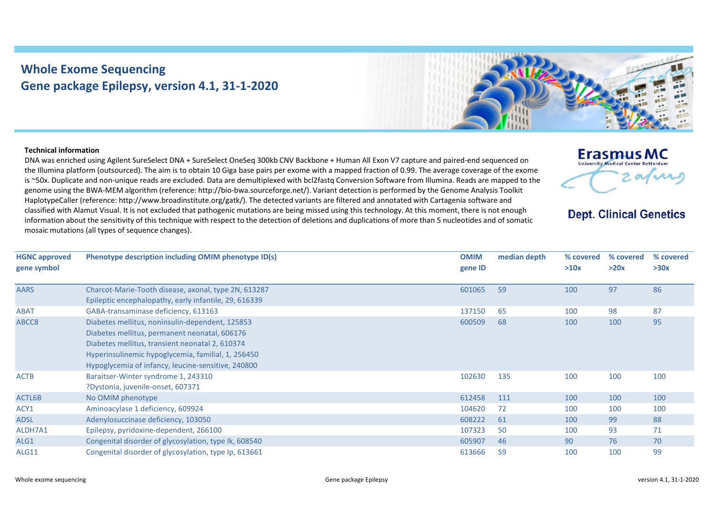## **Whole Exome Sequencing Gene package Epilepsy, version 4.1, 31-1-2020**



**Erasmus MC** University Medical Center Rotterdam

**Dept. Clinical Genetics** 

2 av n

## **Technical information**

DNA was enriched using Agilent SureSelect DNA + SureSelect OneSeq 300kb CNV Backbone + Human All Exon V7 capture and paired-end sequenced on the Illumina platform (outsourced). The aim is to obtain 10 Giga base pairs per exome with a mapped fraction of 0.99. The average coverage of the exome is ~50x. Duplicate and non-unique reads are excluded. Data are demultiplexed with bcl2fastq Conversion Software from Illumina. Reads are mapped to the genome using the BWA-MEM algorithm (reference: http://bio-bwa.sourceforge.net/). Variant detection is performed by the Genome Analysis Toolkit HaplotypeCaller (reference: http://www.broadinstitute.org/gatk/). The detected variants are filtered and annotated with Cartagenia software and classified with Alamut Visual. It is not excluded that pathogenic mutations are being missed using this technology. At this moment, there is not enough information about the sensitivity of this technique with respect to the detection of deletions and duplications of more than 5 nucleotides and of somatic mosaic mutations (all types of sequence changes).

| <b>HGNC approved</b><br>gene symbol | Phenotype description including OMIM phenotype ID(s)                                                                                                                                                                                                            | <b>OMIM</b><br>gene ID | median depth | % covered<br>>10x | % covered<br>>20x | % covered<br>>30x |
|-------------------------------------|-----------------------------------------------------------------------------------------------------------------------------------------------------------------------------------------------------------------------------------------------------------------|------------------------|--------------|-------------------|-------------------|-------------------|
| <b>AARS</b>                         | Charcot-Marie-Tooth disease, axonal, type 2N, 613287<br>Epileptic encephalopathy, early infantile, 29, 616339                                                                                                                                                   | 601065                 | 59           | 100               | 97                | 86                |
| <b>ABAT</b>                         | GABA-transaminase deficiency, 613163                                                                                                                                                                                                                            | 137150                 | 65           | 100               | 98                | 87                |
| ABCC8                               | Diabetes mellitus, noninsulin-dependent, 125853<br>Diabetes mellitus, permanent neonatal, 606176<br>Diabetes mellitus, transient neonatal 2, 610374<br>Hyperinsulinemic hypoglycemia, familial, 1, 256450<br>Hypoglycemia of infancy, leucine-sensitive, 240800 | 600509                 | 68           | 100               | 100               | 95                |
| <b>ACTB</b>                         | Baraitser-Winter syndrome 1, 243310<br>?Dystonia, juvenile-onset, 607371                                                                                                                                                                                        | 102630                 | 135          | 100               | 100               | 100               |
| ACTL6B                              | No OMIM phenotype                                                                                                                                                                                                                                               | 612458                 | 111          | 100               | 100               | 100               |
| ACY1                                | Aminoacylase 1 deficiency, 609924                                                                                                                                                                                                                               | 104620                 | 72           | 100               | 100               | 100               |
| ADSL                                | Adenylosuccinase deficiency, 103050                                                                                                                                                                                                                             | 608222                 | 61           | 100               | 99                | 88                |
| ALDH7A1                             | Epilepsy, pyridoxine-dependent, 266100                                                                                                                                                                                                                          | 107323                 | 50           | 100               | 93                | 71                |
| ALG1                                | Congenital disorder of glycosylation, type Ik, 608540                                                                                                                                                                                                           | 605907                 | 46           | 90                | 76                | 70                |
| ALG11                               | Congenital disorder of glycosylation, type Ip, 613661                                                                                                                                                                                                           | 613666                 | 59           | 100               | 100               | 99                |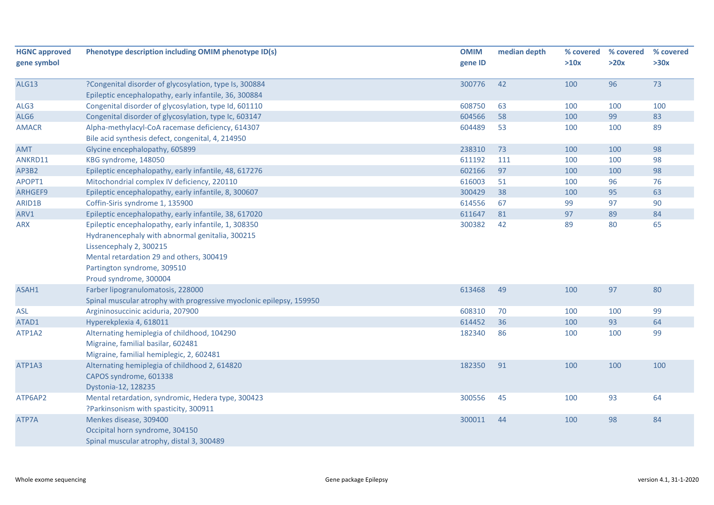| <b>HGNC approved</b> | Phenotype description including OMIM phenotype ID(s)                | <b>OMIM</b> | median depth | % covered | % covered | % covered |
|----------------------|---------------------------------------------------------------------|-------------|--------------|-----------|-----------|-----------|
| gene symbol          |                                                                     | gene ID     |              | >10x      | >20x      | >30x      |
| ALG13                | ?Congenital disorder of glycosylation, type Is, 300884              | 300776      | 42           | 100       | 96        | 73        |
|                      | Epileptic encephalopathy, early infantile, 36, 300884               |             |              |           |           |           |
| ALG3                 | Congenital disorder of glycosylation, type Id, 601110               | 608750      | 63           | 100       | 100       | 100       |
| ALG6                 | Congenital disorder of glycosylation, type Ic, 603147               | 604566      | 58           | 100       | 99        | 83        |
| <b>AMACR</b>         | Alpha-methylacyl-CoA racemase deficiency, 614307                    | 604489      | 53           | 100       | 100       | 89        |
|                      | Bile acid synthesis defect, congenital, 4, 214950                   |             |              |           |           |           |
| AMT                  | Glycine encephalopathy, 605899                                      | 238310      | 73           | 100       | 100       | 98        |
| ANKRD11              | KBG syndrome, 148050                                                | 611192      | 111          | 100       | 100       | 98        |
| AP3B2                | Epileptic encephalopathy, early infantile, 48, 617276               | 602166      | 97           | 100       | 100       | 98        |
| APOPT1               | Mitochondrial complex IV deficiency, 220110                         | 616003      | 51           | 100       | 96        | 76        |
| ARHGEF9              | Epileptic encephalopathy, early infantile, 8, 300607                | 300429      | 38           | 100       | 95        | 63        |
| ARID1B               | Coffin-Siris syndrome 1, 135900                                     | 614556      | 67           | 99        | 97        | 90        |
| ARV1                 | Epileptic encephalopathy, early infantile, 38, 617020               | 611647      | 81           | 97        | 89        | 84        |
| <b>ARX</b>           | Epileptic encephalopathy, early infantile, 1, 308350                | 300382      | 42           | 89        | 80        | 65        |
|                      | Hydranencephaly with abnormal genitalia, 300215                     |             |              |           |           |           |
|                      | Lissencephaly 2, 300215                                             |             |              |           |           |           |
|                      | Mental retardation 29 and others, 300419                            |             |              |           |           |           |
|                      | Partington syndrome, 309510                                         |             |              |           |           |           |
|                      | Proud syndrome, 300004                                              |             |              |           |           |           |
| ASAH1                | Farber lipogranulomatosis, 228000                                   | 613468      | 49           | 100       | 97        | 80        |
|                      | Spinal muscular atrophy with progressive myoclonic epilepsy, 159950 |             |              |           |           |           |
| <b>ASL</b>           | Argininosuccinic aciduria, 207900                                   | 608310      | 70           | 100       | 100       | 99        |
| ATAD1                | Hyperekplexia 4, 618011                                             | 614452      | 36           | 100       | 93        | 64        |
| ATP1A2               | Alternating hemiplegia of childhood, 104290                         | 182340      | 86           | 100       | 100       | 99        |
|                      | Migraine, familial basilar, 602481                                  |             |              |           |           |           |
|                      | Migraine, familial hemiplegic, 2, 602481                            |             |              |           |           |           |
| ATP1A3               | Alternating hemiplegia of childhood 2, 614820                       | 182350      | 91           | 100       | 100       | 100       |
|                      | CAPOS syndrome, 601338                                              |             |              |           |           |           |
|                      | Dystonia-12, 128235                                                 |             |              |           |           |           |
| ATP6AP2              | Mental retardation, syndromic, Hedera type, 300423                  | 300556      | 45           | 100       | 93        | 64        |
|                      | ?Parkinsonism with spasticity, 300911                               |             |              |           |           |           |
| ATP7A                | Menkes disease, 309400                                              | 300011      | 44           | 100       | 98        | 84        |
|                      | Occipital horn syndrome, 304150                                     |             |              |           |           |           |
|                      | Spinal muscular atrophy, distal 3, 300489                           |             |              |           |           |           |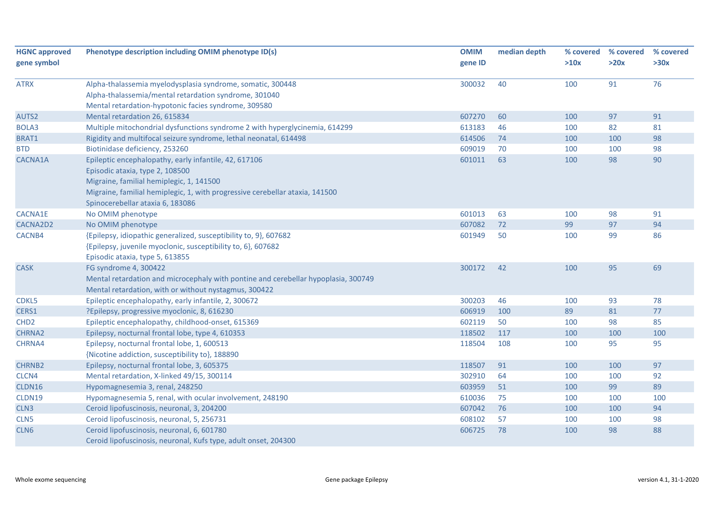| <b>HGNC</b> approved | Phenotype description including OMIM phenotype ID(s)                               | <b>OMIM</b> | median depth | % covered | % covered | % covered |
|----------------------|------------------------------------------------------------------------------------|-------------|--------------|-----------|-----------|-----------|
| gene symbol          |                                                                                    | gene ID     |              | >10x      | >20x      | >30x      |
| <b>ATRX</b>          | Alpha-thalassemia myelodysplasia syndrome, somatic, 300448                         | 300032      | 40           | 100       | 91        | 76        |
|                      | Alpha-thalassemia/mental retardation syndrome, 301040                              |             |              |           |           |           |
|                      | Mental retardation-hypotonic facies syndrome, 309580                               |             |              |           |           |           |
| AUTS2                | Mental retardation 26, 615834                                                      | 607270      | 60           | 100       | 97        | 91        |
| BOLA3                | Multiple mitochondrial dysfunctions syndrome 2 with hyperglycinemia, 614299        | 613183      | 46           | 100       | 82        | 81        |
| BRAT1                | Rigidity and multifocal seizure syndrome, lethal neonatal, 614498                  | 614506      | 74           | 100       | 100       | 98        |
| <b>BTD</b>           | Biotinidase deficiency, 253260                                                     | 609019      | 70           | 100       | 100       | 98        |
| CACNA1A              | Epileptic encephalopathy, early infantile, 42, 617106                              | 601011      | 63           | 100       | 98        | 90        |
|                      | Episodic ataxia, type 2, 108500                                                    |             |              |           |           |           |
|                      | Migraine, familial hemiplegic, 1, 141500                                           |             |              |           |           |           |
|                      | Migraine, familial hemiplegic, 1, with progressive cerebellar ataxia, 141500       |             |              |           |           |           |
|                      | Spinocerebellar ataxia 6, 183086                                                   |             |              |           |           |           |
| <b>CACNA1E</b>       | No OMIM phenotype                                                                  | 601013      | 63           | 100       | 98        | 91        |
| CACNA2D2             | No OMIM phenotype                                                                  | 607082      | 72           | 99        | 97        | 94        |
| CACNB4               | {Epilepsy, idiopathic generalized, susceptibility to, 9}, 607682                   | 601949      | 50           | 100       | 99        | 86        |
|                      | {Epilepsy, juvenile myoclonic, susceptibility to, 6}, 607682                       |             |              |           |           |           |
|                      | Episodic ataxia, type 5, 613855                                                    |             |              |           |           |           |
| <b>CASK</b>          | FG syndrome 4, 300422                                                              | 300172      | 42           | 100       | 95        | 69        |
|                      | Mental retardation and microcephaly with pontine and cerebellar hypoplasia, 300749 |             |              |           |           |           |
|                      | Mental retardation, with or without nystagmus, 300422                              |             |              |           |           |           |
| CDKL5                | Epileptic encephalopathy, early infantile, 2, 300672                               | 300203      | 46           | 100       | 93        | 78        |
| CERS1                | ?Epilepsy, progressive myoclonic, 8, 616230                                        | 606919      | 100          | 89        | 81        | 77        |
| CHD <sub>2</sub>     | Epileptic encephalopathy, childhood-onset, 615369                                  | 602119      | 50           | 100       | 98        | 85        |
| CHRNA2               | Epilepsy, nocturnal frontal lobe, type 4, 610353                                   | 118502      | 117          | 100       | 100       | 100       |
| CHRNA4               | Epilepsy, nocturnal frontal lobe, 1, 600513                                        | 118504      | 108          | 100       | 95        | 95        |
|                      | {Nicotine addiction, susceptibility to}, 188890                                    |             |              |           |           |           |
| <b>CHRNB2</b>        | Epilepsy, nocturnal frontal lobe, 3, 605375                                        | 118507      | 91           | 100       | 100       | 97        |
| CLCN4                | Mental retardation, X-linked 49/15, 300114                                         | 302910      | 64           | 100       | 100       | 92        |
| CLDN16               | Hypomagnesemia 3, renal, 248250                                                    | 603959      | 51           | 100       | 99        | 89        |
| <b>CLDN19</b>        | Hypomagnesemia 5, renal, with ocular involvement, 248190                           | 610036      | 75           | 100       | 100       | 100       |
| CLN3                 | Ceroid lipofuscinosis, neuronal, 3, 204200                                         | 607042      | 76           | 100       | 100       | 94        |
| CLN5                 | Ceroid lipofuscinosis, neuronal, 5, 256731                                         | 608102      | 57           | 100       | 100       | 98        |
| CLN6                 | Ceroid lipofuscinosis, neuronal, 6, 601780                                         | 606725      | 78           | 100       | 98        | 88        |
|                      | Ceroid lipofuscinosis, neuronal, Kufs type, adult onset, 204300                    |             |              |           |           |           |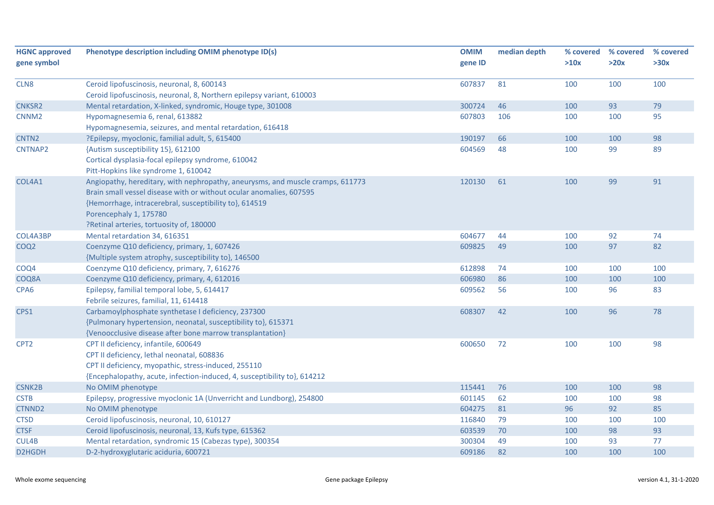| <b>HGNC approved</b> | Phenotype description including OMIM phenotype ID(s)                           | <b>OMIM</b> | median depth | % covered | % covered | % covered |
|----------------------|--------------------------------------------------------------------------------|-------------|--------------|-----------|-----------|-----------|
| gene symbol          |                                                                                | gene ID     |              | >10x      | >20x      | >30x      |
| CLN <sub>8</sub>     | Ceroid lipofuscinosis, neuronal, 8, 600143                                     | 607837      | 81           | 100       | 100       | 100       |
|                      | Ceroid lipofuscinosis, neuronal, 8, Northern epilepsy variant, 610003          |             |              |           |           |           |
| <b>CNKSR2</b>        | Mental retardation, X-linked, syndromic, Houge type, 301008                    | 300724      | 46           | 100       | 93        | 79        |
| CNNM <sub>2</sub>    | Hypomagnesemia 6, renal, 613882                                                | 607803      | 106          | 100       | 100       | 95        |
|                      | Hypomagnesemia, seizures, and mental retardation, 616418                       |             |              |           |           |           |
| CNTN <sub>2</sub>    | ?Epilepsy, myoclonic, familial adult, 5, 615400                                | 190197      | 66           | 100       | 100       | 98        |
| CNTNAP2              | {Autism susceptibility 15}, 612100                                             | 604569      | 48           | 100       | 99        | 89        |
|                      | Cortical dysplasia-focal epilepsy syndrome, 610042                             |             |              |           |           |           |
|                      | Pitt-Hopkins like syndrome 1, 610042                                           |             |              |           |           |           |
| COL4A1               | Angiopathy, hereditary, with nephropathy, aneurysms, and muscle cramps, 611773 | 120130      | 61           | 100       | 99        | 91        |
|                      | Brain small vessel disease with or without ocular anomalies, 607595            |             |              |           |           |           |
|                      | {Hemorrhage, intracerebral, susceptibility to}, 614519                         |             |              |           |           |           |
|                      | Porencephaly 1, 175780                                                         |             |              |           |           |           |
|                      | ?Retinal arteries, tortuosity of, 180000                                       |             |              |           |           |           |
| COL4A3BP             | Mental retardation 34, 616351                                                  | 604677      | 44           | 100       | 92        | 74        |
| COQ <sub>2</sub>     | Coenzyme Q10 deficiency, primary, 1, 607426                                    | 609825      | 49           | 100       | 97        | 82        |
|                      | {Multiple system atrophy, susceptibility to}, 146500                           |             |              |           |           |           |
| COQ4                 | Coenzyme Q10 deficiency, primary, 7, 616276                                    | 612898      | 74           | 100       | 100       | 100       |
| COQ8A                | Coenzyme Q10 deficiency, primary, 4, 612016                                    | 606980      | 86           | 100       | 100       | 100       |
| CPA6                 | Epilepsy, familial temporal lobe, 5, 614417                                    | 609562      | 56           | 100       | 96        | 83        |
|                      | Febrile seizures, familial, 11, 614418                                         |             |              |           |           |           |
| CPS1                 | Carbamoylphosphate synthetase I deficiency, 237300                             | 608307      | 42           | 100       | 96        | 78        |
|                      | {Pulmonary hypertension, neonatal, susceptibility to}, 615371                  |             |              |           |           |           |
|                      | {Venoocclusive disease after bone marrow transplantation}                      |             |              |           |           |           |
| CPT <sub>2</sub>     | CPT II deficiency, infantile, 600649                                           | 600650      | 72           | 100       | 100       | 98        |
|                      | CPT II deficiency, lethal neonatal, 608836                                     |             |              |           |           |           |
|                      | CPT II deficiency, myopathic, stress-induced, 255110                           |             |              |           |           |           |
|                      | {Encephalopathy, acute, infection-induced, 4, susceptibility to}, 614212       |             |              |           |           |           |
| <b>CSNK2B</b>        | No OMIM phenotype                                                              | 115441      | 76           | 100       | 100       | 98        |
| <b>CSTB</b>          | Epilepsy, progressive myoclonic 1A (Unverricht and Lundborg), 254800           | 601145      | 62           | 100       | 100       | 98        |
| CTNND2               | No OMIM phenotype                                                              | 604275      | 81           | 96        | 92        | 85        |
| <b>CTSD</b>          | Ceroid lipofuscinosis, neuronal, 10, 610127                                    | 116840      | 79           | 100       | 100       | 100       |
| <b>CTSF</b>          | Ceroid lipofuscinosis, neuronal, 13, Kufs type, 615362                         | 603539      | 70           | 100       | 98        | 93        |
| CUL4B                | Mental retardation, syndromic 15 (Cabezas type), 300354                        | 300304      | 49           | 100       | 93        | 77        |
| D2HGDH               | D-2-hydroxyglutaric aciduria, 600721                                           | 609186      | 82           | 100       | 100       | 100       |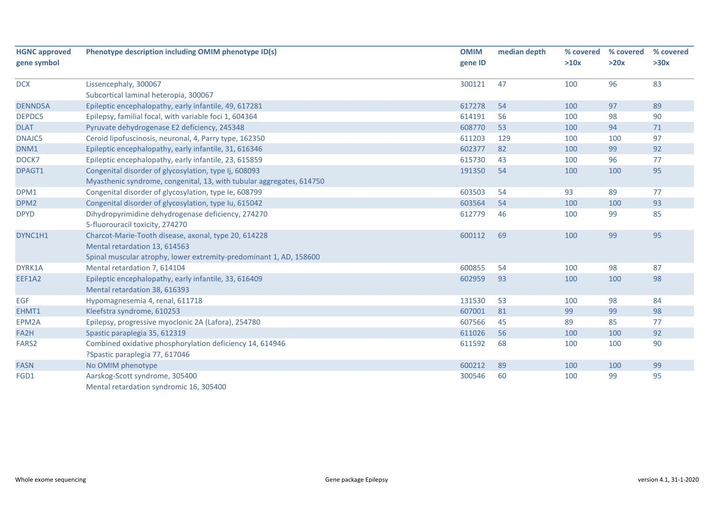| <b>HGNC approved</b> | Phenotype description including OMIM phenotype ID(s)                 | <b>OMIM</b> | median depth | % covered | % covered | % covered |
|----------------------|----------------------------------------------------------------------|-------------|--------------|-----------|-----------|-----------|
| gene symbol          |                                                                      | gene ID     |              | >10x      | >20x      | >30x      |
| <b>DCX</b>           | Lissencephaly, 300067                                                | 300121      | 47           | 100       | 96        | 83        |
|                      | Subcortical laminal heteropia, 300067                                |             |              |           |           |           |
| <b>DENND5A</b>       | Epileptic encephalopathy, early infantile, 49, 617281                | 617278      | 54           | 100       | 97        | 89        |
| DEPDC5               | Epilepsy, familial focal, with variable foci 1, 604364               | 614191      | 56           | 100       | 98        | 90        |
| <b>DLAT</b>          | Pyruvate dehydrogenase E2 deficiency, 245348                         | 608770      | 53           | 100       | 94        | $71$      |
| <b>DNAJC5</b>        | Ceroid lipofuscinosis, neuronal, 4, Parry type, 162350               | 611203      | 129          | 100       | 100       | 97        |
| DNM1                 | Epileptic encephalopathy, early infantile, 31, 616346                | 602377      | 82           | 100       | 99        | 92        |
| DOCK7                | Epileptic encephalopathy, early infantile, 23, 615859                | 615730      | 43           | 100       | 96        | 77        |
| DPAGT1               | Congenital disorder of glycosylation, type Ij, 608093                | 191350      | 54           | 100       | 100       | 95        |
|                      | Myasthenic syndrome, congenital, 13, with tubular aggregates, 614750 |             |              |           |           |           |
| DPM1                 | Congenital disorder of glycosylation, type le, 608799                | 603503      | 54           | 93        | 89        | 77        |
| DPM <sub>2</sub>     | Congenital disorder of glycosylation, type Iu, 615042                | 603564      | 54           | 100       | 100       | 93        |
| <b>DPYD</b>          | Dihydropyrimidine dehydrogenase deficiency, 274270                   | 612779      | 46           | 100       | 99        | 85        |
|                      | 5-fluorouracil toxicity, 274270                                      |             |              |           |           |           |
| DYNC1H1              | Charcot-Marie-Tooth disease, axonal, type 20, 614228                 | 600112      | 69           | 100       | 99        | 95        |
|                      | Mental retardation 13, 614563                                        |             |              |           |           |           |
|                      | Spinal muscular atrophy, lower extremity-predominant 1, AD, 158600   |             |              |           |           |           |
| DYRK1A               | Mental retardation 7, 614104                                         | 600855      | 54           | 100       | 98        | 87        |
| EEF1A2               | Epileptic encephalopathy, early infantile, 33, 616409                | 602959      | 93           | 100       | 100       | 98        |
|                      | Mental retardation 38, 616393                                        |             |              |           |           |           |
| <b>EGF</b>           | Hypomagnesemia 4, renal, 611718                                      | 131530      | 53           | 100       | 98        | 84        |
| EHMT1                | Kleefstra syndrome, 610253                                           | 607001      | 81           | 99        | 99        | 98        |
| EPM2A                | Epilepsy, progressive myoclonic 2A (Lafora), 254780                  | 607566      | 45           | 89        | 85        | 77        |
| FA2H                 | Spastic paraplegia 35, 612319                                        | 611026      | 56           | 100       | 100       | 92        |
| FARS <sub>2</sub>    | Combined oxidative phosphorylation deficiency 14, 614946             | 611592      | 68           | 100       | 100       | 90        |
|                      | ?Spastic paraplegia 77, 617046                                       |             |              |           |           |           |
| <b>FASN</b>          | No OMIM phenotype                                                    | 600212      | 89           | 100       | 100       | 99        |
| FGD1                 | Aarskog-Scott syndrome, 305400                                       | 300546      | 60           | 100       | 99        | 95        |
|                      | Mental retardation syndromic 16, 305400                              |             |              |           |           |           |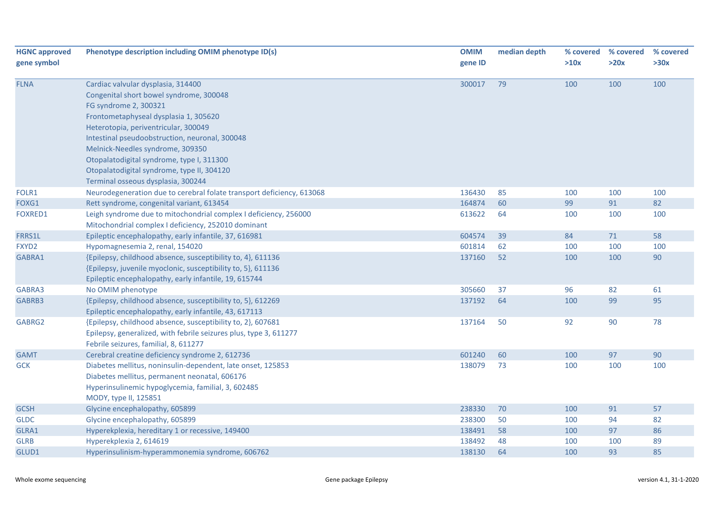| <b>HGNC approved</b> | Phenotype description including OMIM phenotype ID(s)                  | <b>OMIM</b> | median depth | % covered | % covered | % covered |
|----------------------|-----------------------------------------------------------------------|-------------|--------------|-----------|-----------|-----------|
| gene symbol          |                                                                       | gene ID     |              | >10x      | >20x      | >30x      |
| <b>FLNA</b>          | Cardiac valvular dysplasia, 314400                                    | 300017      | 79           | 100       | 100       | 100       |
|                      | Congenital short bowel syndrome, 300048                               |             |              |           |           |           |
|                      | FG syndrome 2, 300321                                                 |             |              |           |           |           |
|                      | Frontometaphyseal dysplasia 1, 305620                                 |             |              |           |           |           |
|                      | Heterotopia, periventricular, 300049                                  |             |              |           |           |           |
|                      | Intestinal pseudoobstruction, neuronal, 300048                        |             |              |           |           |           |
|                      | Melnick-Needles syndrome, 309350                                      |             |              |           |           |           |
|                      | Otopalatodigital syndrome, type I, 311300                             |             |              |           |           |           |
|                      | Otopalatodigital syndrome, type II, 304120                            |             |              |           |           |           |
|                      | Terminal osseous dysplasia, 300244                                    |             |              |           |           |           |
| FOLR1                | Neurodegeneration due to cerebral folate transport deficiency, 613068 | 136430      | 85           | 100       | 100       | 100       |
| FOXG1                | Rett syndrome, congenital variant, 613454                             | 164874      | 60           | 99        | 91        | 82        |
| FOXRED1              | Leigh syndrome due to mitochondrial complex I deficiency, 256000      | 613622      | 64           | 100       | 100       | 100       |
|                      | Mitochondrial complex I deficiency, 252010 dominant                   |             |              |           |           |           |
| FRRS1L               | Epileptic encephalopathy, early infantile, 37, 616981                 | 604574      | 39           | 84        | 71        | 58        |
| FXYD2                | Hypomagnesemia 2, renal, 154020                                       | 601814      | 62           | 100       | 100       | 100       |
| GABRA1               | {Epilepsy, childhood absence, susceptibility to, 4}, 611136           | 137160      | 52           | 100       | 100       | 90        |
|                      | {Epilepsy, juvenile myoclonic, susceptibility to, 5}, 611136          |             |              |           |           |           |
|                      | Epileptic encephalopathy, early infantile, 19, 615744                 |             |              |           |           |           |
| GABRA3               | No OMIM phenotype                                                     | 305660      | 37           | 96        | 82        | 61        |
| GABRB3               | {Epilepsy, childhood absence, susceptibility to, 5}, 612269           | 137192      | 64           | 100       | 99        | 95        |
|                      | Epileptic encephalopathy, early infantile, 43, 617113                 |             |              |           |           |           |
| GABRG2               | {Epilepsy, childhood absence, susceptibility to, 2}, 607681           | 137164      | 50           | 92        | 90        | 78        |
|                      | Epilepsy, generalized, with febrile seizures plus, type 3, 611277     |             |              |           |           |           |
|                      | Febrile seizures, familial, 8, 611277                                 |             |              |           |           |           |
| <b>GAMT</b>          | Cerebral creatine deficiency syndrome 2, 612736                       | 601240      | 60           | 100       | 97        | 90        |
| <b>GCK</b>           | Diabetes mellitus, noninsulin-dependent, late onset, 125853           | 138079      | 73           | 100       | 100       | 100       |
|                      | Diabetes mellitus, permanent neonatal, 606176                         |             |              |           |           |           |
|                      | Hyperinsulinemic hypoglycemia, familial, 3, 602485                    |             |              |           |           |           |
|                      | MODY, type II, 125851                                                 |             |              |           |           |           |
| <b>GCSH</b>          | Glycine encephalopathy, 605899                                        | 238330      | 70           | 100       | 91        | 57        |
| <b>GLDC</b>          | Glycine encephalopathy, 605899                                        | 238300      | 50           | 100       | 94        | 82        |
| GLRA1                | Hyperekplexia, hereditary 1 or recessive, 149400                      | 138491      | 58           | 100       | 97        | 86        |
| <b>GLRB</b>          | Hyperekplexia 2, 614619                                               | 138492      | 48           | 100       | 100       | 89        |
| GLUD1                | Hyperinsulinism-hyperammonemia syndrome, 606762                       | 138130      | 64           | 100       | 93        | 85        |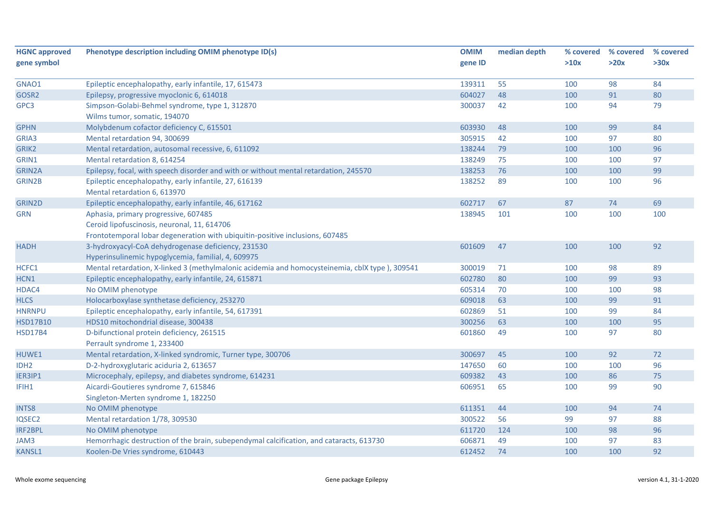| <b>HGNC</b> approved | Phenotype description including OMIM phenotype ID(s)                                           | <b>OMIM</b> | median depth | % covered | % covered | % covered |
|----------------------|------------------------------------------------------------------------------------------------|-------------|--------------|-----------|-----------|-----------|
| gene symbol          |                                                                                                | gene ID     |              | >10x      | >20x      | >30x      |
| GNAO1                | Epileptic encephalopathy, early infantile, 17, 615473                                          | 139311      | 55           | 100       | 98        | 84        |
| GOSR2                | Epilepsy, progressive myoclonic 6, 614018                                                      | 604027      | 48           | 100       | 91        | 80        |
| GPC3                 | Simpson-Golabi-Behmel syndrome, type 1, 312870                                                 | 300037      | 42           | 100       | 94        | 79        |
|                      | Wilms tumor, somatic, 194070                                                                   |             |              |           |           |           |
| <b>GPHN</b>          | Molybdenum cofactor deficiency C, 615501                                                       | 603930      | 48           | 100       | 99        | 84        |
| GRIA3                | Mental retardation 94, 300699                                                                  | 305915      | 42           | 100       | 97        | 80        |
| GRIK2                | Mental retardation, autosomal recessive, 6, 611092                                             | 138244      | 79           | 100       | 100       | 96        |
| GRIN1                | Mental retardation 8, 614254                                                                   | 138249      | 75           | 100       | 100       | 97        |
| GRIN2A               | Epilepsy, focal, with speech disorder and with or without mental retardation, 245570           | 138253      | 76           | 100       | 100       | 99        |
| GRIN2B               | Epileptic encephalopathy, early infantile, 27, 616139                                          | 138252      | 89           | 100       | 100       | 96        |
|                      | Mental retardation 6, 613970                                                                   |             |              |           |           |           |
| GRIN2D               | Epileptic encephalopathy, early infantile, 46, 617162                                          | 602717      | 67           | 87        | 74        | 69        |
| <b>GRN</b>           | Aphasia, primary progressive, 607485                                                           | 138945      | 101          | 100       | 100       | 100       |
|                      | Ceroid lipofuscinosis, neuronal, 11, 614706                                                    |             |              |           |           |           |
|                      | Frontotemporal lobar degeneration with ubiquitin-positive inclusions, 607485                   |             |              |           |           |           |
| <b>HADH</b>          | 3-hydroxyacyl-CoA dehydrogenase deficiency, 231530                                             | 601609      | 47           | 100       | 100       | 92        |
|                      | Hyperinsulinemic hypoglycemia, familial, 4, 609975                                             |             |              |           |           |           |
| HCFC1                | Mental retardation, X-linked 3 (methylmalonic acidemia and homocysteinemia, cblX type), 309541 | 300019      | 71           | 100       | 98        | 89        |
| HCN1                 | Epileptic encephalopathy, early infantile, 24, 615871                                          | 602780      | 80           | 100       | 99        | 93        |
| HDAC4                | No OMIM phenotype                                                                              | 605314      | 70           | 100       | 100       | 98        |
| <b>HLCS</b>          | Holocarboxylase synthetase deficiency, 253270                                                  | 609018      | 63           | 100       | 99        | 91        |
| <b>HNRNPU</b>        | Epileptic encephalopathy, early infantile, 54, 617391                                          | 602869      | 51           | 100       | 99        | 84        |
| <b>HSD17B10</b>      | HDS10 mitochondrial disease, 300438                                                            | 300256      | 63           | 100       | 100       | 95        |
| <b>HSD17B4</b>       | D-bifunctional protein deficiency, 261515                                                      | 601860      | 49           | 100       | 97        | 80        |
|                      | Perrault syndrome 1, 233400                                                                    |             |              |           |           |           |
| HUWE1                | Mental retardation, X-linked syndromic, Turner type, 300706                                    | 300697      | 45           | 100       | 92        | 72        |
| IDH <sub>2</sub>     | D-2-hydroxyglutaric aciduria 2, 613657                                                         | 147650      | 60           | 100       | 100       | 96        |
| IER3IP1              | Microcephaly, epilepsy, and diabetes syndrome, 614231                                          | 609382      | 43           | 100       | 86        | 75        |
| IFIH1                | Aicardi-Goutieres syndrome 7, 615846                                                           | 606951      | 65           | 100       | 99        | 90        |
|                      | Singleton-Merten syndrome 1, 182250                                                            |             |              |           |           |           |
| <b>INTS8</b>         | No OMIM phenotype                                                                              | 611351      | 44           | 100       | 94        | 74        |
| IQSEC2               | Mental retardation 1/78, 309530                                                                | 300522      | 56           | 99        | 97        | 88        |
| <b>IRF2BPL</b>       | No OMIM phenotype                                                                              | 611720      | 124          | 100       | 98        | 96        |
| JAM3                 | Hemorrhagic destruction of the brain, subependymal calcification, and cataracts, 613730        | 606871      | 49           | 100       | 97        | 83        |
| <b>KANSL1</b>        | Koolen-De Vries syndrome, 610443                                                               | 612452      | 74           | 100       | 100       | 92        |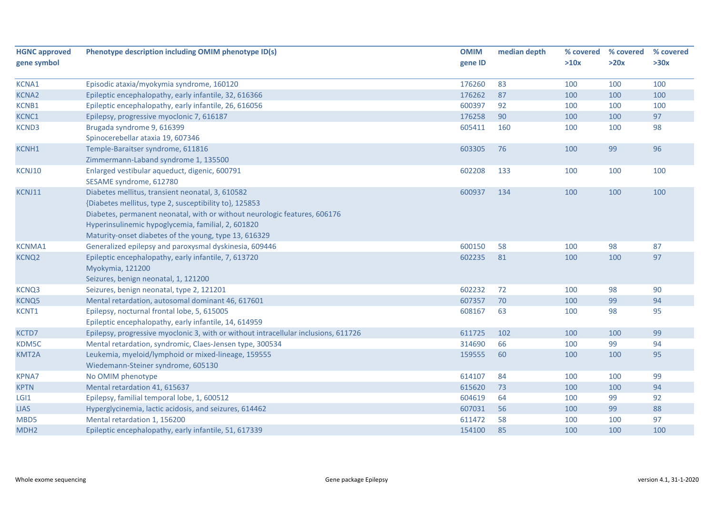| <b>HGNC approved</b> | Phenotype description including OMIM phenotype ID(s)                                                                                                                                                                                                                                                   | <b>OMIM</b> | median depth | % covered | % covered | % covered |
|----------------------|--------------------------------------------------------------------------------------------------------------------------------------------------------------------------------------------------------------------------------------------------------------------------------------------------------|-------------|--------------|-----------|-----------|-----------|
| gene symbol          |                                                                                                                                                                                                                                                                                                        | gene ID     |              | >10x      | >20x      | >30x      |
| KCNA1                | Episodic ataxia/myokymia syndrome, 160120                                                                                                                                                                                                                                                              | 176260      | 83           | 100       | 100       | 100       |
| <b>KCNA2</b>         | Epileptic encephalopathy, early infantile, 32, 616366                                                                                                                                                                                                                                                  | 176262      | 87           | 100       | 100       | 100       |
| KCNB1                | Epileptic encephalopathy, early infantile, 26, 616056                                                                                                                                                                                                                                                  | 600397      | 92           | 100       | 100       | 100       |
| <b>KCNC1</b>         | Epilepsy, progressive myoclonic 7, 616187                                                                                                                                                                                                                                                              | 176258      | 90           | 100       | 100       | 97        |
| <b>KCND3</b>         | Brugada syndrome 9, 616399<br>Spinocerebellar ataxia 19, 607346                                                                                                                                                                                                                                        | 605411      | 160          | 100       | 100       | 98        |
| KCNH1                | Temple-Baraitser syndrome, 611816<br>Zimmermann-Laband syndrome 1, 135500                                                                                                                                                                                                                              | 603305      | 76           | 100       | 99        | 96        |
| KCNJ10               | Enlarged vestibular aqueduct, digenic, 600791<br>SESAME syndrome, 612780                                                                                                                                                                                                                               | 602208      | 133          | 100       | 100       | 100       |
| KCNJ11               | Diabetes mellitus, transient neonatal, 3, 610582<br>{Diabetes mellitus, type 2, susceptibility to}, 125853<br>Diabetes, permanent neonatal, with or without neurologic features, 606176<br>Hyperinsulinemic hypoglycemia, familial, 2, 601820<br>Maturity-onset diabetes of the young, type 13, 616329 | 600937      | 134          | 100       | 100       | 100       |
| <b>KCNMA1</b>        | Generalized epilepsy and paroxysmal dyskinesia, 609446                                                                                                                                                                                                                                                 | 600150      | 58           | 100       | 98        | 87        |
| <b>KCNQ2</b>         | Epileptic encephalopathy, early infantile, 7, 613720<br>Myokymia, 121200<br>Seizures, benign neonatal, 1, 121200                                                                                                                                                                                       | 602235      | 81           | 100       | 100       | 97        |
| KCNQ3                | Seizures, benign neonatal, type 2, 121201                                                                                                                                                                                                                                                              | 602232      | 72           | 100       | 98        | 90        |
| <b>KCNQ5</b>         | Mental retardation, autosomal dominant 46, 617601                                                                                                                                                                                                                                                      | 607357      | 70           | 100       | 99        | 94        |
| KCNT1                | Epilepsy, nocturnal frontal lobe, 5, 615005<br>Epileptic encephalopathy, early infantile, 14, 614959                                                                                                                                                                                                   | 608167      | 63           | 100       | 98        | 95        |
| KCTD7                | Epilepsy, progressive myoclonic 3, with or without intracellular inclusions, 611726                                                                                                                                                                                                                    | 611725      | 102          | 100       | 100       | 99        |
| KDM5C                | Mental retardation, syndromic, Claes-Jensen type, 300534                                                                                                                                                                                                                                               | 314690      | 66           | 100       | 99        | 94        |
| KMT2A                | Leukemia, myeloid/lymphoid or mixed-lineage, 159555<br>Wiedemann-Steiner syndrome, 605130                                                                                                                                                                                                              | 159555      | 60           | 100       | 100       | 95        |
| <b>KPNA7</b>         | No OMIM phenotype                                                                                                                                                                                                                                                                                      | 614107      | 84           | 100       | 100       | 99        |
| <b>KPTN</b>          | Mental retardation 41, 615637                                                                                                                                                                                                                                                                          | 615620      | 73           | 100       | 100       | 94        |
| LGI1                 | Epilepsy, familial temporal lobe, 1, 600512                                                                                                                                                                                                                                                            | 604619      | 64           | 100       | 99        | 92        |
| <b>LIAS</b>          | Hyperglycinemia, lactic acidosis, and seizures, 614462                                                                                                                                                                                                                                                 | 607031      | 56           | 100       | 99        | 88        |
| MBD5                 | Mental retardation 1, 156200                                                                                                                                                                                                                                                                           | 611472      | 58           | 100       | 100       | 97        |
| MDH <sub>2</sub>     | Epileptic encephalopathy, early infantile, 51, 617339                                                                                                                                                                                                                                                  | 154100      | 85           | 100       | 100       | 100       |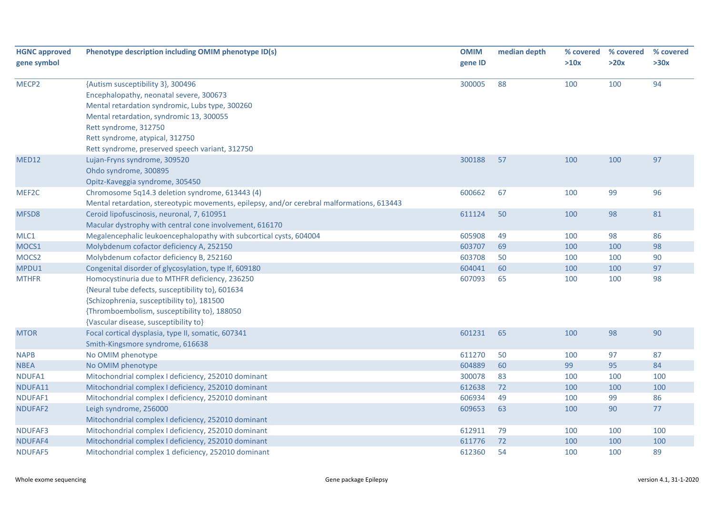| <b>HGNC approved</b> | Phenotype description including OMIM phenotype ID(s)                                       | <b>OMIM</b> | median depth | % covered | % covered | % covered |
|----------------------|--------------------------------------------------------------------------------------------|-------------|--------------|-----------|-----------|-----------|
| gene symbol          |                                                                                            | gene ID     |              | >10x      | >20x      | >30x      |
| MECP <sub>2</sub>    | {Autism susceptibility 3}, 300496                                                          | 300005      | 88           | 100       | 100       | 94        |
|                      | Encephalopathy, neonatal severe, 300673                                                    |             |              |           |           |           |
|                      | Mental retardation syndromic, Lubs type, 300260                                            |             |              |           |           |           |
|                      | Mental retardation, syndromic 13, 300055                                                   |             |              |           |           |           |
|                      | Rett syndrome, 312750                                                                      |             |              |           |           |           |
|                      | Rett syndrome, atypical, 312750                                                            |             |              |           |           |           |
|                      | Rett syndrome, preserved speech variant, 312750                                            |             |              |           |           |           |
| MED12                | Lujan-Fryns syndrome, 309520                                                               | 300188      | 57           | 100       | 100       | 97        |
|                      | Ohdo syndrome, 300895                                                                      |             |              |           |           |           |
|                      | Opitz-Kaveggia syndrome, 305450                                                            |             |              |           |           |           |
| MEF2C                | Chromosome 5q14.3 deletion syndrome, 613443 (4)                                            | 600662      | 67           | 100       | 99        | 96        |
|                      | Mental retardation, stereotypic movements, epilepsy, and/or cerebral malformations, 613443 |             |              |           |           |           |
| MFSD8                | Ceroid lipofuscinosis, neuronal, 7, 610951                                                 | 611124      | 50           | 100       | 98        | 81        |
|                      | Macular dystrophy with central cone involvement, 616170                                    |             |              |           |           |           |
| MLC1                 | Megalencephalic leukoencephalopathy with subcortical cysts, 604004                         | 605908      | 49           | 100       | 98        | 86        |
| MOCS1                | Molybdenum cofactor deficiency A, 252150                                                   | 603707      | 69           | 100       | 100       | 98        |
| MOCS <sub>2</sub>    | Molybdenum cofactor deficiency B, 252160                                                   | 603708      | 50           | 100       | 100       | 90        |
| MPDU1                | Congenital disorder of glycosylation, type If, 609180                                      | 604041      | 60           | 100       | 100       | 97        |
| <b>MTHFR</b>         | Homocystinuria due to MTHFR deficiency, 236250                                             | 607093      | 65           | 100       | 100       | 98        |
|                      | {Neural tube defects, susceptibility to}, 601634                                           |             |              |           |           |           |
|                      | {Schizophrenia, susceptibility to}, 181500                                                 |             |              |           |           |           |
|                      | {Thromboembolism, susceptibility to}, 188050                                               |             |              |           |           |           |
|                      | {Vascular disease, susceptibility to}                                                      |             |              |           |           |           |
| <b>MTOR</b>          | Focal cortical dysplasia, type II, somatic, 607341                                         | 601231      | 65           | 100       | 98        | 90        |
|                      | Smith-Kingsmore syndrome, 616638                                                           |             |              |           |           |           |
| <b>NAPB</b>          | No OMIM phenotype                                                                          | 611270      | 50           | 100       | 97        | 87        |
| <b>NBEA</b>          | No OMIM phenotype                                                                          | 604889      | 60           | 99        | 95        | 84        |
| NDUFA1               | Mitochondrial complex I deficiency, 252010 dominant                                        | 300078      | 83           | 100       | 100       | 100       |
| NDUFA11              | Mitochondrial complex I deficiency, 252010 dominant                                        | 612638      | 72           | 100       | 100       | 100       |
| NDUFAF1              | Mitochondrial complex I deficiency, 252010 dominant                                        | 606934      | 49           | 100       | 99        | 86        |
| NDUFAF2              | Leigh syndrome, 256000                                                                     | 609653      | 63           | 100       | 90        | 77        |
|                      | Mitochondrial complex I deficiency, 252010 dominant                                        |             |              |           |           |           |
| NDUFAF3              | Mitochondrial complex I deficiency, 252010 dominant                                        | 612911      | 79           | 100       | 100       | 100       |
| NDUFAF4              | Mitochondrial complex I deficiency, 252010 dominant                                        | 611776      | 72           | 100       | 100       | 100       |
| NDUFAF5              | Mitochondrial complex 1 deficiency, 252010 dominant                                        | 612360      | 54           | 100       | 100       | 89        |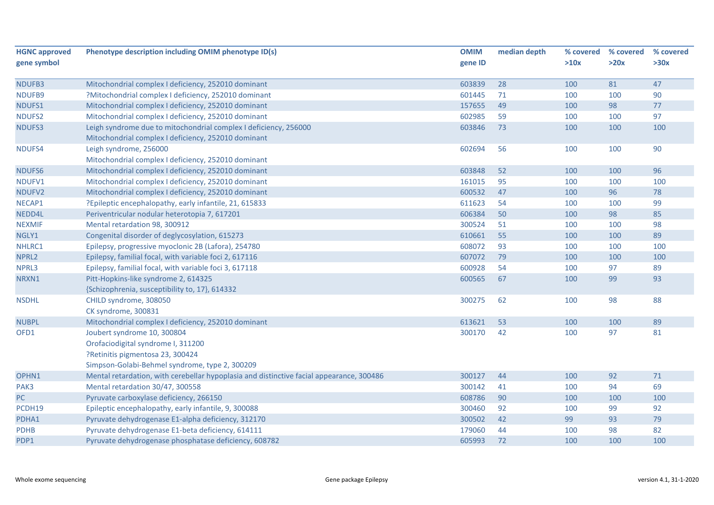| <b>HGNC approved</b> | Phenotype description including OMIM phenotype ID(s)                                     | <b>OMIM</b> | median depth | % covered | % covered | % covered |
|----------------------|------------------------------------------------------------------------------------------|-------------|--------------|-----------|-----------|-----------|
| gene symbol          |                                                                                          | gene ID     |              | >10x      | >20x      | >30x      |
| NDUFB3               | Mitochondrial complex I deficiency, 252010 dominant                                      | 603839      | 28           | 100       | 81        | 47        |
| NDUFB9               | ?Mitochondrial complex I deficiency, 252010 dominant                                     | 601445      | 71           | 100       | 100       | 90        |
| NDUFS1               | Mitochondrial complex I deficiency, 252010 dominant                                      | 157655      | 49           | 100       | 98        | 77        |
| NDUFS2               | Mitochondrial complex I deficiency, 252010 dominant                                      | 602985      | 59           | 100       | 100       | 97        |
| NDUFS3               | Leigh syndrome due to mitochondrial complex I deficiency, 256000                         | 603846      | 73           | 100       | 100       | 100       |
|                      | Mitochondrial complex I deficiency, 252010 dominant                                      |             |              |           |           |           |
| NDUFS4               | Leigh syndrome, 256000                                                                   | 602694      | 56           | 100       | 100       | 90        |
|                      | Mitochondrial complex I deficiency, 252010 dominant                                      |             |              |           |           |           |
| NDUFS6               | Mitochondrial complex I deficiency, 252010 dominant                                      | 603848      | 52           | 100       | 100       | 96        |
| NDUFV1               | Mitochondrial complex I deficiency, 252010 dominant                                      | 161015      | 95           | 100       | 100       | 100       |
| NDUFV2               | Mitochondrial complex I deficiency, 252010 dominant                                      | 600532      | 47           | 100       | 96        | 78        |
| NECAP1               | ?Epileptic encephalopathy, early infantile, 21, 615833                                   | 611623      | 54           | 100       | 100       | 99        |
| NEDD4L               | Periventricular nodular heterotopia 7, 617201                                            | 606384      | 50           | 100       | 98        | 85        |
| <b>NEXMIF</b>        | Mental retardation 98, 300912                                                            | 300524      | 51           | 100       | 100       | 98        |
| NGLY1                | Congenital disorder of deglycosylation, 615273                                           | 610661      | 55           | 100       | 100       | 89        |
| NHLRC1               | Epilepsy, progressive myoclonic 2B (Lafora), 254780                                      | 608072      | 93           | 100       | 100       | 100       |
| NPRL2                | Epilepsy, familial focal, with variable foci 2, 617116                                   | 607072      | 79           | 100       | 100       | 100       |
| NPRL3                | Epilepsy, familial focal, with variable foci 3, 617118                                   | 600928      | 54           | 100       | 97        | 89        |
| NRXN1                | Pitt-Hopkins-like syndrome 2, 614325                                                     | 600565      | 67           | 100       | 99        | 93        |
|                      | {Schizophrenia, susceptibility to, 17}, 614332                                           |             |              |           |           |           |
| <b>NSDHL</b>         | CHILD syndrome, 308050                                                                   | 300275      | 62           | 100       | 98        | 88        |
|                      | CK syndrome, 300831                                                                      |             |              |           |           |           |
| <b>NUBPL</b>         | Mitochondrial complex I deficiency, 252010 dominant                                      | 613621      | 53           | 100       | 100       | 89        |
| OFD1                 | Joubert syndrome 10, 300804                                                              | 300170      | 42           | 100       | 97        | 81        |
|                      | Orofaciodigital syndrome I, 311200                                                       |             |              |           |           |           |
|                      | ?Retinitis pigmentosa 23, 300424                                                         |             |              |           |           |           |
|                      | Simpson-Golabi-Behmel syndrome, type 2, 300209                                           |             |              |           |           |           |
| OPHN1                | Mental retardation, with cerebellar hypoplasia and distinctive facial appearance, 300486 | 300127      | 44           | 100       | 92        | 71        |
| PAK3                 | Mental retardation 30/47, 300558                                                         | 300142      | 41           | 100       | 94        | 69        |
| PC.                  | Pyruvate carboxylase deficiency, 266150                                                  | 608786      | 90           | 100       | 100       | 100       |
| PCDH19               | Epileptic encephalopathy, early infantile, 9, 300088                                     | 300460      | 92           | 100       | 99        | 92        |
| PDHA1                | Pyruvate dehydrogenase E1-alpha deficiency, 312170                                       | 300502      | 42           | 99        | 93        | 79        |
| <b>PDHB</b>          | Pyruvate dehydrogenase E1-beta deficiency, 614111                                        | 179060      | 44           | 100       | 98        | 82        |
| PDP1                 | Pyruvate dehydrogenase phosphatase deficiency, 608782                                    | 605993      | 72           | 100       | 100       | 100       |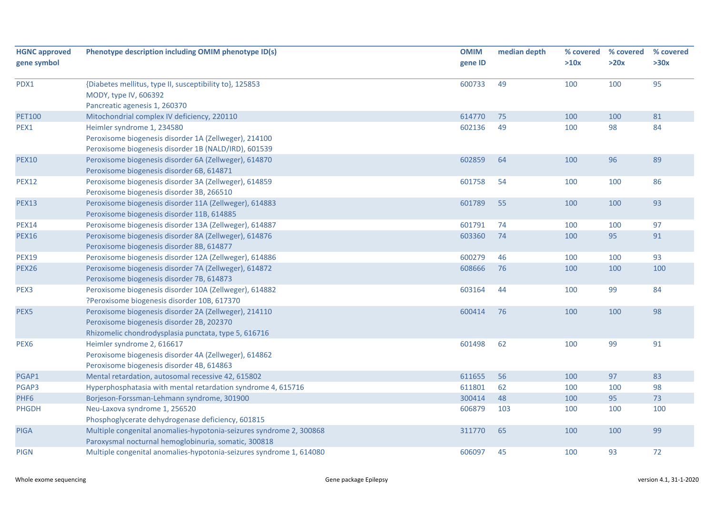| <b>HGNC approved</b> | Phenotype description including OMIM phenotype ID(s)                | <b>OMIM</b> | median depth | % covered | % covered | % covered |
|----------------------|---------------------------------------------------------------------|-------------|--------------|-----------|-----------|-----------|
| gene symbol          |                                                                     | gene ID     |              | >10x      | >20x      | >30x      |
| PDX1                 | {Diabetes mellitus, type II, susceptibility to}, 125853             | 600733      | 49           | 100       | 100       | 95        |
|                      | MODY, type IV, 606392                                               |             |              |           |           |           |
|                      | Pancreatic agenesis 1, 260370                                       |             |              |           |           |           |
| <b>PET100</b>        | Mitochondrial complex IV deficiency, 220110                         | 614770      | 75           | 100       | 100       | 81        |
| PEX1                 | Heimler syndrome 1, 234580                                          | 602136      | 49           | 100       | 98        | 84        |
|                      | Peroxisome biogenesis disorder 1A (Zellweger), 214100               |             |              |           |           |           |
|                      | Peroxisome biogenesis disorder 1B (NALD/IRD), 601539                |             |              |           |           |           |
| <b>PEX10</b>         | Peroxisome biogenesis disorder 6A (Zellweger), 614870               | 602859      | 64           | 100       | 96        | 89        |
|                      | Peroxisome biogenesis disorder 6B, 614871                           |             |              |           |           |           |
| <b>PEX12</b>         | Peroxisome biogenesis disorder 3A (Zellweger), 614859               | 601758      | 54           | 100       | 100       | 86        |
|                      | Peroxisome biogenesis disorder 3B, 266510                           |             |              |           |           |           |
| <b>PEX13</b>         | Peroxisome biogenesis disorder 11A (Zellweger), 614883              | 601789      | 55           | 100       | 100       | 93        |
|                      | Peroxisome biogenesis disorder 11B, 614885                          |             |              |           |           |           |
| <b>PEX14</b>         | Peroxisome biogenesis disorder 13A (Zellweger), 614887              | 601791      | 74           | 100       | 100       | 97        |
| <b>PEX16</b>         | Peroxisome biogenesis disorder 8A (Zellweger), 614876               | 603360      | 74           | 100       | 95        | 91        |
|                      | Peroxisome biogenesis disorder 8B, 614877                           |             |              |           |           |           |
| <b>PEX19</b>         | Peroxisome biogenesis disorder 12A (Zellweger), 614886              | 600279      | 46           | 100       | 100       | 93        |
| <b>PEX26</b>         | Peroxisome biogenesis disorder 7A (Zellweger), 614872               | 608666      | 76           | 100       | 100       | 100       |
|                      | Peroxisome biogenesis disorder 7B, 614873                           |             |              |           |           |           |
| PEX3                 | Peroxisome biogenesis disorder 10A (Zellweger), 614882              | 603164      | 44           | 100       | 99        | 84        |
|                      | ?Peroxisome biogenesis disorder 10B, 617370                         |             |              |           |           |           |
| PEX5                 | Peroxisome biogenesis disorder 2A (Zellweger), 214110               | 600414      | 76           | 100       | 100       | 98        |
|                      | Peroxisome biogenesis disorder 2B, 202370                           |             |              |           |           |           |
|                      | Rhizomelic chondrodysplasia punctata, type 5, 616716                |             |              |           |           |           |
| PEX <sub>6</sub>     | Heimler syndrome 2, 616617                                          | 601498      | 62           | 100       | 99        | 91        |
|                      | Peroxisome biogenesis disorder 4A (Zellweger), 614862               |             |              |           |           |           |
|                      | Peroxisome biogenesis disorder 4B, 614863                           |             |              |           |           |           |
| PGAP1                | Mental retardation, autosomal recessive 42, 615802                  | 611655      | 56           | 100       | 97        | 83        |
| PGAP3                | Hyperphosphatasia with mental retardation syndrome 4, 615716        | 611801      | 62           | 100       | 100       | 98        |
| PHF6                 | Borjeson-Forssman-Lehmann syndrome, 301900                          | 300414      | 48           | 100       | 95        | 73        |
| <b>PHGDH</b>         | Neu-Laxova syndrome 1, 256520                                       | 606879      | 103          | 100       | 100       | 100       |
|                      | Phosphoglycerate dehydrogenase deficiency, 601815                   |             |              |           |           |           |
| <b>PIGA</b>          | Multiple congenital anomalies-hypotonia-seizures syndrome 2, 300868 | 311770      | 65           | 100       | 100       | 99        |
|                      | Paroxysmal nocturnal hemoglobinuria, somatic, 300818                |             |              |           |           |           |
| <b>PIGN</b>          | Multiple congenital anomalies-hypotonia-seizures syndrome 1, 614080 | 606097      | 45           | 100       | 93        | 72        |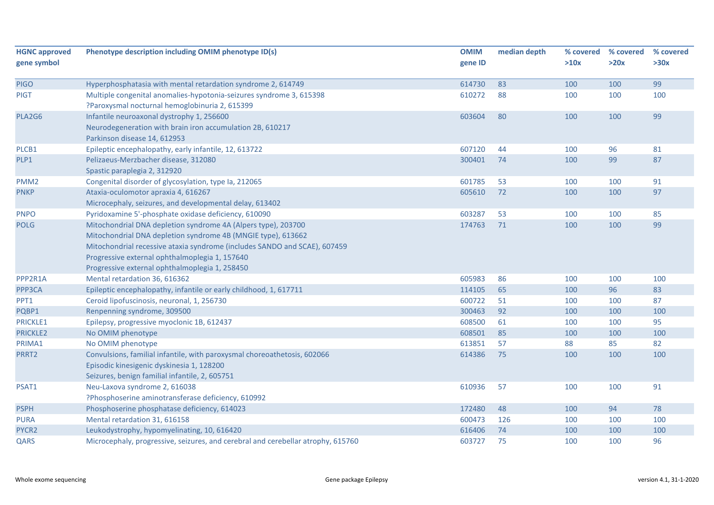| <b>HGNC approved</b><br>gene symbol | Phenotype description including OMIM phenotype ID(s)                                                                                                                                                                                                                                                           | <b>OMIM</b><br>gene ID | median depth | % covered<br>>10x | % covered<br>>20x | % covered<br>>30x |
|-------------------------------------|----------------------------------------------------------------------------------------------------------------------------------------------------------------------------------------------------------------------------------------------------------------------------------------------------------------|------------------------|--------------|-------------------|-------------------|-------------------|
| <b>PIGO</b>                         | Hyperphosphatasia with mental retardation syndrome 2, 614749                                                                                                                                                                                                                                                   | 614730                 | 83           | 100               | 100               | 99                |
| <b>PIGT</b>                         | Multiple congenital anomalies-hypotonia-seizures syndrome 3, 615398<br>?Paroxysmal nocturnal hemoglobinuria 2, 615399                                                                                                                                                                                          | 610272                 | 88           | 100               | 100               | 100               |
| PLA2G6                              | Infantile neuroaxonal dystrophy 1, 256600<br>Neurodegeneration with brain iron accumulation 2B, 610217<br>Parkinson disease 14, 612953                                                                                                                                                                         | 603604                 | 80           | 100               | 100               | 99                |
| PLCB1                               | Epileptic encephalopathy, early infantile, 12, 613722                                                                                                                                                                                                                                                          | 607120                 | 44           | 100               | 96                | 81                |
| PLP1                                | Pelizaeus-Merzbacher disease, 312080<br>Spastic paraplegia 2, 312920                                                                                                                                                                                                                                           | 300401                 | 74           | 100               | 99                | 87                |
| PMM <sub>2</sub>                    | Congenital disorder of glycosylation, type Ia, 212065                                                                                                                                                                                                                                                          | 601785                 | 53           | 100               | 100               | 91                |
| <b>PNKP</b>                         | Ataxia-oculomotor apraxia 4, 616267<br>Microcephaly, seizures, and developmental delay, 613402                                                                                                                                                                                                                 | 605610                 | 72           | 100               | 100               | 97                |
| <b>PNPO</b>                         | Pyridoxamine 5'-phosphate oxidase deficiency, 610090                                                                                                                                                                                                                                                           | 603287                 | 53           | 100               | 100               | 85                |
| <b>POLG</b>                         | Mitochondrial DNA depletion syndrome 4A (Alpers type), 203700<br>Mitochondrial DNA depletion syndrome 4B (MNGIE type), 613662<br>Mitochondrial recessive ataxia syndrome (includes SANDO and SCAE), 607459<br>Progressive external ophthalmoplegia 1, 157640<br>Progressive external ophthalmoplegia 1, 258450 | 174763                 | 71           | 100               | 100               | 99                |
| PPP2R1A                             | Mental retardation 36, 616362                                                                                                                                                                                                                                                                                  | 605983                 | 86           | 100               | 100               | 100               |
| PPP3CA                              | Epileptic encephalopathy, infantile or early childhood, 1, 617711                                                                                                                                                                                                                                              | 114105                 | 65           | 100               | 96                | 83                |
| PPT1                                | Ceroid lipofuscinosis, neuronal, 1, 256730                                                                                                                                                                                                                                                                     | 600722                 | 51           | 100               | 100               | 87                |
| PQBP1                               | Renpenning syndrome, 309500                                                                                                                                                                                                                                                                                    | 300463                 | 92           | 100               | 100               | 100               |
| <b>PRICKLE1</b>                     | Epilepsy, progressive myoclonic 1B, 612437                                                                                                                                                                                                                                                                     | 608500                 | 61           | 100               | 100               | 95                |
| <b>PRICKLE2</b>                     | No OMIM phenotype                                                                                                                                                                                                                                                                                              | 608501                 | 85           | 100               | 100               | 100               |
| PRIMA1                              | No OMIM phenotype                                                                                                                                                                                                                                                                                              | 613851                 | 57           | 88                | 85                | 82                |
| PRRT2                               | Convulsions, familial infantile, with paroxysmal choreoathetosis, 602066<br>Episodic kinesigenic dyskinesia 1, 128200<br>Seizures, benign familial infantile, 2, 605751                                                                                                                                        | 614386                 | 75           | 100               | 100               | 100               |
| PSAT1                               | Neu-Laxova syndrome 2, 616038<br>?Phosphoserine aminotransferase deficiency, 610992                                                                                                                                                                                                                            | 610936                 | 57           | 100               | 100               | 91                |
| <b>PSPH</b>                         | Phosphoserine phosphatase deficiency, 614023                                                                                                                                                                                                                                                                   | 172480                 | 48           | 100               | 94                | 78                |
| <b>PURA</b>                         | Mental retardation 31, 616158                                                                                                                                                                                                                                                                                  | 600473                 | 126          | 100               | 100               | 100               |
| PYCR2                               | Leukodystrophy, hypomyelinating, 10, 616420                                                                                                                                                                                                                                                                    | 616406                 | 74           | 100               | 100               | 100               |
| QARS                                | Microcephaly, progressive, seizures, and cerebral and cerebellar atrophy, 615760                                                                                                                                                                                                                               | 603727                 | 75           | 100               | 100               | 96                |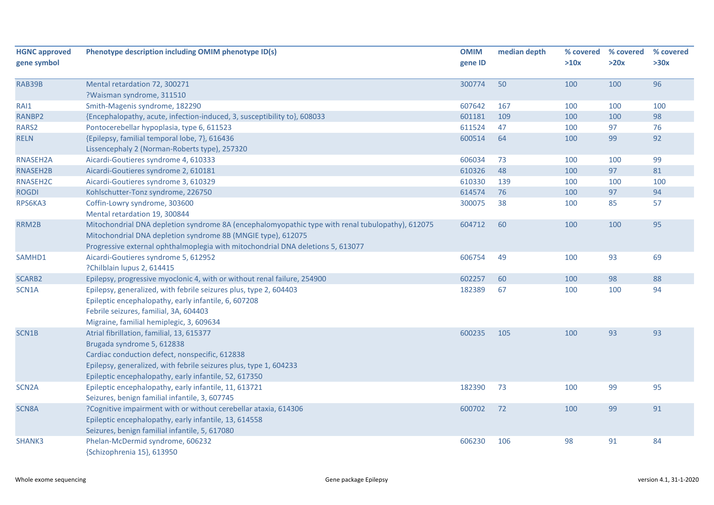| <b>HGNC approved</b> | Phenotype description including OMIM phenotype ID(s)                                             | <b>OMIM</b> | median depth | % covered | % covered | % covered |
|----------------------|--------------------------------------------------------------------------------------------------|-------------|--------------|-----------|-----------|-----------|
| gene symbol          |                                                                                                  | gene ID     |              | >10x      | >20x      | >30x      |
| RAB39B               | Mental retardation 72, 300271                                                                    | 300774      | 50           | 100       | 100       | 96        |
|                      | ?Waisman syndrome, 311510                                                                        |             |              |           |           |           |
| RAI1                 | Smith-Magenis syndrome, 182290                                                                   | 607642      | 167          | 100       | 100       | 100       |
| RANBP2               | {Encephalopathy, acute, infection-induced, 3, susceptibility to}, 608033                         | 601181      | 109          | 100       | 100       | 98        |
| RARS2                | Pontocerebellar hypoplasia, type 6, 611523                                                       | 611524      | 47           | 100       | 97        | 76        |
| <b>RELN</b>          | {Epilepsy, familial temporal lobe, 7}, 616436                                                    | 600514      | 64           | 100       | 99        | 92        |
|                      | Lissencephaly 2 (Norman-Roberts type), 257320                                                    |             |              |           |           |           |
| RNASEH2A             | Aicardi-Goutieres syndrome 4, 610333                                                             | 606034      | 73           | 100       | 100       | 99        |
| RNASEH2B             | Aicardi-Goutieres syndrome 2, 610181                                                             | 610326      | 48           | 100       | 97        | 81        |
| RNASEH2C             | Aicardi-Goutieres syndrome 3, 610329                                                             | 610330      | 139          | 100       | 100       | 100       |
| <b>ROGDI</b>         | Kohlschutter-Tonz syndrome, 226750                                                               | 614574      | 76           | 100       | 97        | 94        |
| RPS6KA3              | Coffin-Lowry syndrome, 303600                                                                    | 300075      | 38           | 100       | 85        | 57        |
|                      | Mental retardation 19, 300844                                                                    |             |              |           |           |           |
| RRM2B                | Mitochondrial DNA depletion syndrome 8A (encephalomyopathic type with renal tubulopathy), 612075 | 604712      | 60           | 100       | 100       | 95        |
|                      | Mitochondrial DNA depletion syndrome 8B (MNGIE type), 612075                                     |             |              |           |           |           |
|                      | Progressive external ophthalmoplegia with mitochondrial DNA deletions 5, 613077                  |             |              |           |           |           |
| SAMHD1               | Aicardi-Goutieres syndrome 5, 612952                                                             | 606754      | 49           | 100       | 93        | 69        |
|                      | ?Chilblain lupus 2, 614415                                                                       |             |              |           |           |           |
| SCARB2               | Epilepsy, progressive myoclonic 4, with or without renal failure, 254900                         | 602257      | 60           | 100       | 98        | 88        |
| SCN1A                | Epilepsy, generalized, with febrile seizures plus, type 2, 604403                                | 182389      | 67           | 100       | 100       | 94        |
|                      | Epileptic encephalopathy, early infantile, 6, 607208                                             |             |              |           |           |           |
|                      | Febrile seizures, familial, 3A, 604403                                                           |             |              |           |           |           |
|                      | Migraine, familial hemiplegic, 3, 609634                                                         |             |              |           |           |           |
| SCN1B                | Atrial fibrillation, familial, 13, 615377                                                        | 600235      | 105          | 100       | 93        | 93        |
|                      | Brugada syndrome 5, 612838                                                                       |             |              |           |           |           |
|                      | Cardiac conduction defect, nonspecific, 612838                                                   |             |              |           |           |           |
|                      | Epilepsy, generalized, with febrile seizures plus, type 1, 604233                                |             |              |           |           |           |
|                      | Epileptic encephalopathy, early infantile, 52, 617350                                            |             |              |           |           |           |
| SCN <sub>2</sub> A   | Epileptic encephalopathy, early infantile, 11, 613721                                            | 182390      | 73           | 100       | 99        | 95        |
|                      | Seizures, benign familial infantile, 3, 607745                                                   |             |              |           |           |           |
| <b>SCN8A</b>         | ?Cognitive impairment with or without cerebellar ataxia, 614306                                  | 600702      | 72           | 100       | 99        | 91        |
|                      | Epileptic encephalopathy, early infantile, 13, 614558                                            |             |              |           |           |           |
|                      | Seizures, benign familial infantile, 5, 617080                                                   |             |              |           |           |           |
| <b>SHANK3</b>        | Phelan-McDermid syndrome, 606232                                                                 | 606230      | 106          | 98        | 91        | 84        |
|                      | {Schizophrenia 15}, 613950                                                                       |             |              |           |           |           |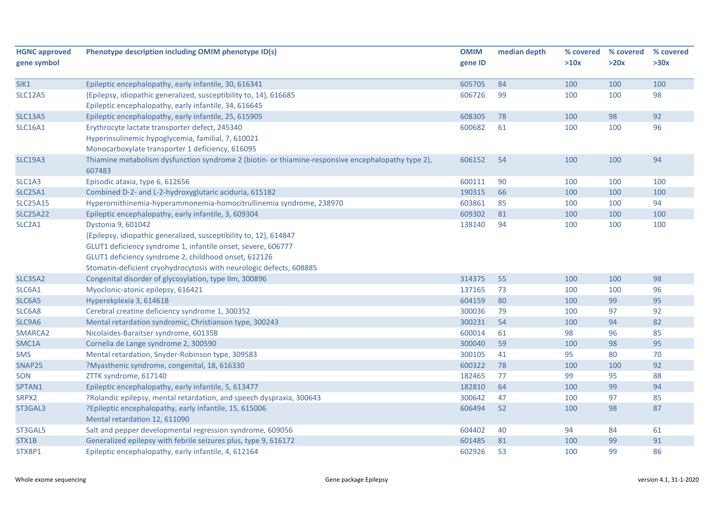| <b>HGNC approved</b>            | Phenotype description including OMIM phenotype ID(s)                                                         | <b>OMIM</b> | median depth | % covered | % covered | % covered |
|---------------------------------|--------------------------------------------------------------------------------------------------------------|-------------|--------------|-----------|-----------|-----------|
| gene symbol                     |                                                                                                              | gene ID     |              | >10x      | >20x      | >30x      |
|                                 |                                                                                                              |             |              |           |           |           |
| SIK1                            | Epileptic encephalopathy, early infantile, 30, 616341                                                        | 605705      | 84           | 100       | 100       | 100       |
| <b>SLC12A5</b>                  | {Epilepsy, idiopathic generalized, susceptibility to, 14}, 616685                                            | 606726      | 99           | 100       | 100       | 98        |
|                                 | Epileptic encephalopathy, early infantile, 34, 616645                                                        |             |              |           |           |           |
| SLC13A5                         | Epileptic encephalopathy, early infantile, 25, 615905                                                        | 608305      | 78           | 100       | 98        | 92        |
| <b>SLC16A1</b>                  | Erythrocyte lactate transporter defect, 245340                                                               | 600682      | 61           | 100       | 100       | 96        |
|                                 | Hyperinsulinemic hypoglycemia, familial, 7, 610021                                                           |             |              |           |           |           |
|                                 | Monocarboxylate transporter 1 deficiency, 616095                                                             |             |              |           |           |           |
| <b>SLC19A3</b>                  | Thiamine metabolism dysfunction syndrome 2 (biotin- or thiamine-responsive encephalopathy type 2),<br>607483 | 606152      | 54           | 100       | 100       | 94        |
| SLC1A3                          | Episodic ataxia, type 6, 612656                                                                              | 600111      | 90           | 100       | 100       | 100       |
| <b>SLC25A1</b>                  | Combined D-2- and L-2-hydroxyglutaric aciduria, 615182                                                       | 190315      | 66           | 100       | 100       | 100       |
| <b>SLC25A15</b>                 | Hyperornithinemia-hyperammonemia-homocitrullinemia syndrome, 238970                                          | 603861      | 85           | 100       | 100       | 94        |
| <b>SLC25A22</b>                 | Epileptic encephalopathy, early infantile, 3, 609304                                                         | 609302      | 81           | 100       | 100       | 100       |
| SLC <sub>2</sub> A <sub>1</sub> | Dystonia 9, 601042                                                                                           | 138140      | 94           | 100       | 100       | 100       |
|                                 | {Epilepsy, idiopathic generalized, susceptibility to, 12}, 614847                                            |             |              |           |           |           |
|                                 | GLUT1 deficiency syndrome 1, infantile onset, severe, 606777                                                 |             |              |           |           |           |
|                                 | GLUT1 deficiency syndrome 2, childhood onset, 612126                                                         |             |              |           |           |           |
|                                 | Stomatin-deficient cryohydrocytosis with neurologic defects, 608885                                          |             |              |           |           |           |
| <b>SLC35A2</b>                  | Congenital disorder of glycosylation, type IIm, 300896                                                       | 314375      | 55           | 100       | 100       | 98        |
| SLC6A1                          | Myoclonic-atonic epilepsy, 616421                                                                            | 137165      | 73           | 100       | 100       | 96        |
| SLC6A5                          | Hyperekplexia 3, 614618                                                                                      | 604159      | 80           | 100       | 99        | 95        |
| SLC6A8                          | Cerebral creatine deficiency syndrome 1, 300352                                                              | 300036      | 79           | 100       | 97        | 92        |
| SLC9A6                          | Mental retardation syndromic, Christianson type, 300243                                                      | 300231      | 54           | 100       | 94        | 82        |
| SMARCA2                         | Nicolaides-Baraitser syndrome, 601358                                                                        | 600014      | 61           | 98        | 96        | 85        |
| SMC1A                           | Cornelia de Lange syndrome 2, 300590                                                                         | 300040      | 59           | 100       | 98        | 95        |
| <b>SMS</b>                      | Mental retardation, Snyder-Robinson type, 309583                                                             | 300105      | 41           | 95        | 80        | 70        |
| SNAP25                          | ?Myasthenic syndrome, congenital, 18, 616330                                                                 | 600322      | 78           | 100       | 100       | 92        |
| SON                             | ZTTK syndrome, 617140                                                                                        | 182465      | 77           | 99        | 95        | 88        |
| SPTAN1                          | Epileptic encephalopathy, early infantile, 5, 613477                                                         | 182810      | 64           | 100       | 99        | 94        |
| SRPX2                           | ?Rolandic epilepsy, mental retardation, and speech dyspraxia, 300643                                         | 300642      | 47           | 100       | 97        | 85        |
| ST3GAL3                         | ?Epileptic encephalopathy, early infantile, 15, 615006                                                       | 606494      | 52           | 100       | 98        | 87        |
|                                 | Mental retardation 12, 611090                                                                                |             |              |           |           |           |
| ST3GAL5                         | Salt and pepper developmental regression syndrome, 609056                                                    | 604402      | 40           | 94        | 84        | 61        |
| STX1B                           | Generalized epilepsy with febrile seizures plus, type 9, 616172                                              | 601485      | 81           | 100       | 99        | 91        |
| STXBP1                          | Epileptic encephalopathy, early infantile, 4, 612164                                                         | 602926      | 53           | 100       | 99        | 86        |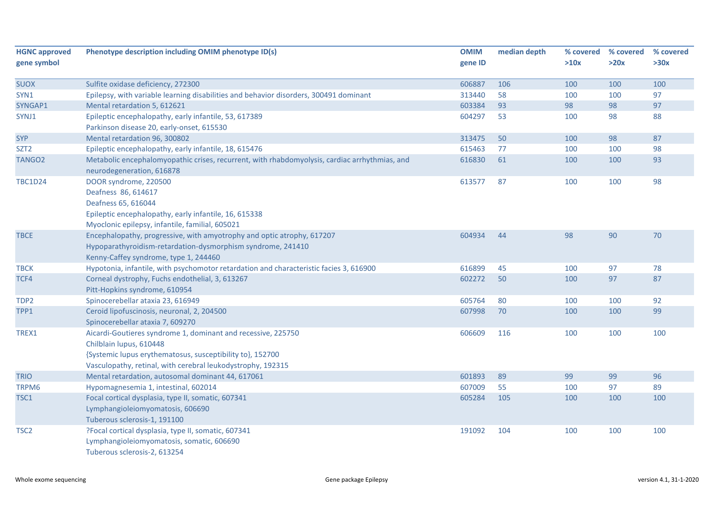| <b>HGNC approved</b> | Phenotype description including OMIM phenotype ID(s)                                                                       | <b>OMIM</b> | median depth | % covered | % covered | % covered |
|----------------------|----------------------------------------------------------------------------------------------------------------------------|-------------|--------------|-----------|-----------|-----------|
| gene symbol          |                                                                                                                            | gene ID     |              | >10x      | >20x      | >30x      |
| <b>SUOX</b>          | Sulfite oxidase deficiency, 272300                                                                                         | 606887      | 106          | 100       | 100       | 100       |
| SYN1                 | Epilepsy, with variable learning disabilities and behavior disorders, 300491 dominant                                      | 313440      | 58           | 100       | 100       | 97        |
| SYNGAP1              | Mental retardation 5, 612621                                                                                               | 603384      | 93           | 98        | 98        | 97        |
| SYNJ1                | Epileptic encephalopathy, early infantile, 53, 617389                                                                      | 604297      | 53           | 100       | 98        | 88        |
| <b>SYP</b>           | Parkinson disease 20, early-onset, 615530                                                                                  |             |              |           | 98        | 87        |
|                      | Mental retardation 96, 300802                                                                                              | 313475      | 50           | 100       |           |           |
| SZT <sub>2</sub>     | Epileptic encephalopathy, early infantile, 18, 615476                                                                      | 615463      | 77           | 100       | 100       | 98        |
| TANGO <sub>2</sub>   | Metabolic encephalomyopathic crises, recurrent, with rhabdomyolysis, cardiac arrhythmias, and<br>neurodegeneration, 616878 | 616830      | 61           | 100       | 100       | 93        |
| <b>TBC1D24</b>       | DOOR syndrome, 220500                                                                                                      | 613577      | 87           | 100       | 100       | 98        |
|                      | Deafness 86, 614617<br>Deafness 65, 616044                                                                                 |             |              |           |           |           |
|                      | Epileptic encephalopathy, early infantile, 16, 615338                                                                      |             |              |           |           |           |
|                      | Myoclonic epilepsy, infantile, familial, 605021                                                                            |             |              |           |           |           |
| <b>TBCE</b>          | Encephalopathy, progressive, with amyotrophy and optic atrophy, 617207                                                     | 604934      | 44           | 98        | 90        | 70        |
|                      | Hypoparathyroidism-retardation-dysmorphism syndrome, 241410                                                                |             |              |           |           |           |
|                      | Kenny-Caffey syndrome, type 1, 244460                                                                                      |             |              |           |           |           |
| <b>TBCK</b>          | Hypotonia, infantile, with psychomotor retardation and characteristic facies 3, 616900                                     | 616899      | 45           | 100       | 97        | 78        |
| TCF4                 | Corneal dystrophy, Fuchs endothelial, 3, 613267                                                                            | 602272      | 50           | 100       | 97        | 87        |
|                      | Pitt-Hopkins syndrome, 610954                                                                                              |             |              |           |           |           |
| TDP <sub>2</sub>     | Spinocerebellar ataxia 23, 616949                                                                                          | 605764      | 80           | 100       | 100       | 92        |
| TPP1                 | Ceroid lipofuscinosis, neuronal, 2, 204500                                                                                 | 607998      | 70           | 100       | 100       | 99        |
|                      | Spinocerebellar ataxia 7, 609270                                                                                           |             |              |           |           |           |
| TREX1                | Aicardi-Goutieres syndrome 1, dominant and recessive, 225750                                                               | 606609      | 116          | 100       | 100       | 100       |
|                      | Chilblain lupus, 610448                                                                                                    |             |              |           |           |           |
|                      | {Systemic lupus erythematosus, susceptibility to}, 152700                                                                  |             |              |           |           |           |
|                      | Vasculopathy, retinal, with cerebral leukodystrophy, 192315                                                                |             |              |           |           |           |
| <b>TRIO</b>          | Mental retardation, autosomal dominant 44, 617061                                                                          | 601893      | 89           | 99        | 99        | 96        |
| TRPM6                | Hypomagnesemia 1, intestinal, 602014                                                                                       | 607009      | 55           | 100       | 97        | 89        |
| TSC1                 | Focal cortical dysplasia, type II, somatic, 607341                                                                         | 605284      | 105          | 100       | 100       | 100       |
|                      | Lymphangioleiomyomatosis, 606690                                                                                           |             |              |           |           |           |
|                      | Tuberous sclerosis-1, 191100                                                                                               |             |              |           |           |           |
| TSC <sub>2</sub>     | ?Focal cortical dysplasia, type II, somatic, 607341                                                                        | 191092      | 104          | 100       | 100       | 100       |
|                      | Lymphangioleiomyomatosis, somatic, 606690                                                                                  |             |              |           |           |           |
|                      | Tuberous sclerosis-2, 613254                                                                                               |             |              |           |           |           |